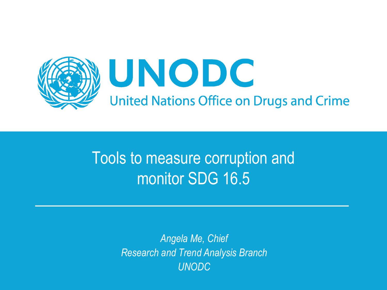

## Tools to measure corruption and monitor SDG 16.5

*Angela Me, Chief Research and Trend Analysis Branch UNODC*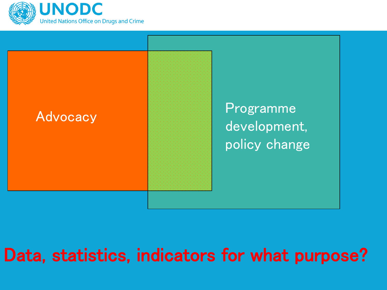



## Data, statistics, indicators for what purpose?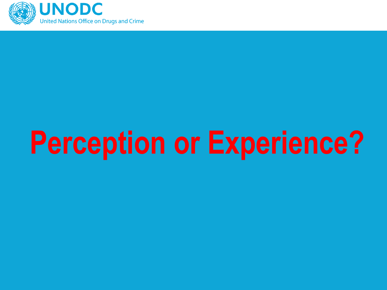

# **Perception or Experience?**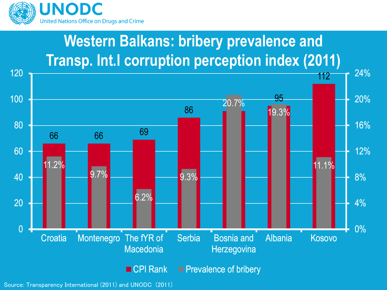

### **Western Balkans: bribery prevalence and Transp. Int.l corruption perception index (2011)**



Source: Transparency International (2011) and UNODC (2011)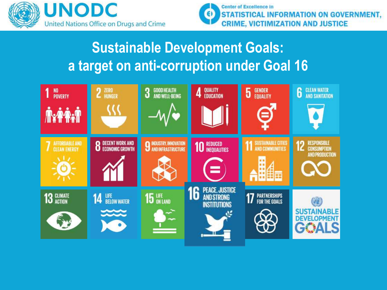



#### **Sustainable Development Goals: a target on anti-corruption under Goal 16**

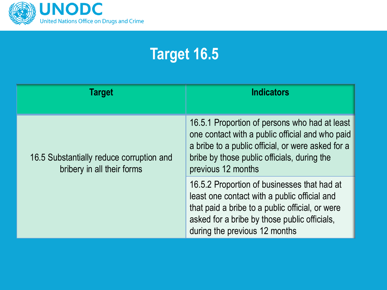

## **Target 16.5**

| Target                                                                 | <b>Indicators</b>                                                                                                                                                                                                               |
|------------------------------------------------------------------------|---------------------------------------------------------------------------------------------------------------------------------------------------------------------------------------------------------------------------------|
| 16.5 Substantially reduce corruption and<br>bribery in all their forms | 16.5.1 Proportion of persons who had at least<br>one contact with a public official and who paid<br>a bribe to a public official, or were asked for a<br>bribe by those public officials, during the<br>previous 12 months      |
|                                                                        | 16.5.2 Proportion of businesses that had at<br>least one contact with a public official and<br>that paid a bribe to a public official, or were<br>asked for a bribe by those public officials,<br>during the previous 12 months |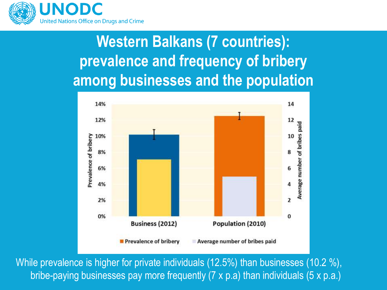

## **Western Balkans (7 countries): prevalence and frequency of bribery among businesses and the population**



While prevalence is higher for private individuals (12.5%) than businesses (10.2 %), bribe-paying businesses pay more frequently (7 x p.a) than individuals (5 x p.a.)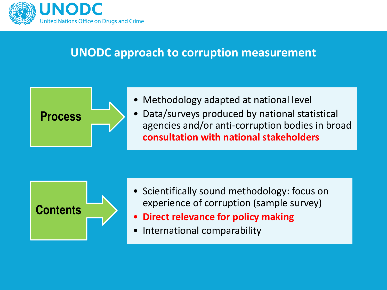

#### **UNODC approach to corruption measurement**



- Methodology adapted at national level
- Data/surveys produced by national statistical agencies and/or anti-corruption bodies in broad **consultation with national stakeholders**



- Scientifically sound methodology: focus on experience of corruption (sample survey)
- **Direct relevance for policy making**
- International comparability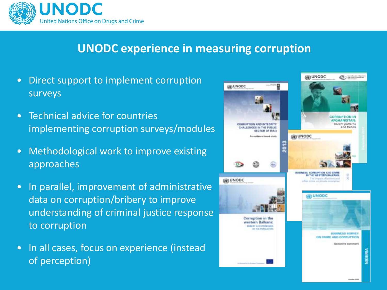

#### **UNODC experience in measuring corruption**

- Direct support to implement corruption surveys
- Technical advice for countries implementing corruption surveys/modules
- Methodological work to improve existing approaches
- In parallel, improvement of administrative data on corruption/bribery to improve understanding of criminal justice response to corruption
- In all cases, focus on experience (instead of perception)

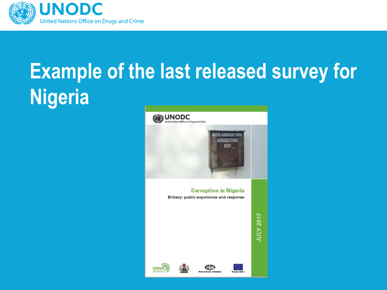

## **Example of the last released survey for Nigeria**

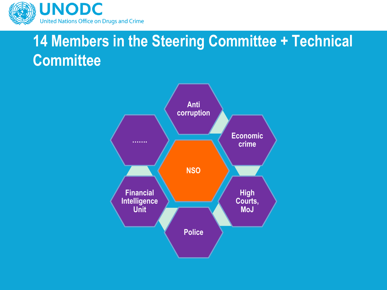

#### **14 Members in the Steering Committee + Technical Committee**

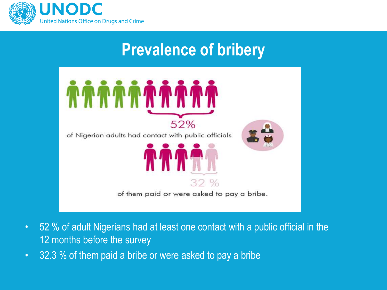

#### **Prevalence of bribery**



- 52 % of adult Nigerians had at least one contact with a public official in the 12 months before the survey
- 32.3 % of them paid a bribe or were asked to pay a bribe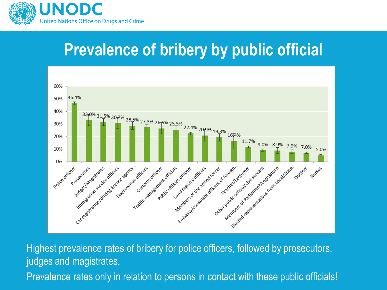

## **Prevalence of bribery by public official**



Highest prevalence rates of bribery for police officers, followed by prosecutors, judges and magistrates. Prevalence rates only in relation to persons in contact with these public officials!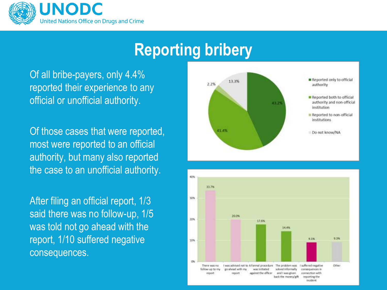

#### **Reporting bribery**

Of all bribe-payers, only 4.4% reported their experience to any official or unofficial authority.

Of those cases that were reported, most were reported to an official authority, but many also reported the case to an unofficial authority.

After filing an official report, 1/3 said there was no follow-up, 1/5 was told not go ahead with the report, 1/10 suffered negative consequences.



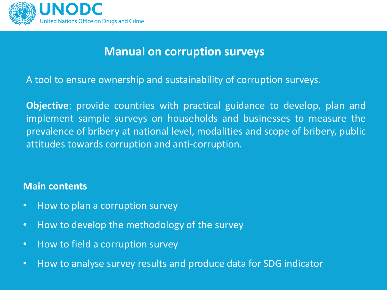

#### **Manual on corruption surveys**

A tool to ensure ownership and sustainability of corruption surveys.

**Objective**: provide countries with practical guidance to develop, plan and implement sample surveys on households and businesses to measure the prevalence of bribery at national level, modalities and scope of bribery, public attitudes towards corruption and anti-corruption.

#### **Main contents**

- How to plan a corruption survey
- How to develop the methodology of the survey
- How to field a corruption survey
- How to analyse survey results and produce data for SDG indicator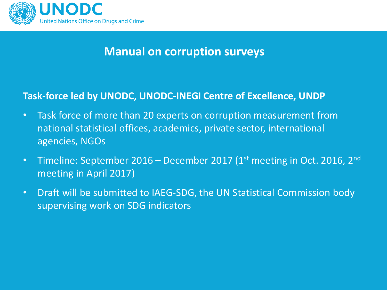

#### **Manual on corruption surveys**

#### **Task-force led by UNODC, UNODC-INEGI Centre of Excellence, UNDP**

- Task force of more than 20 experts on corruption measurement from national statistical offices, academics, private sector, international agencies, NGOs
- Timeline: September 2016 December 2017 (1st meeting in Oct. 2016, 2<sup>nd</sup> meeting in April 2017)
- Draft will be submitted to IAEG-SDG, the UN Statistical Commission body supervising work on SDG indicators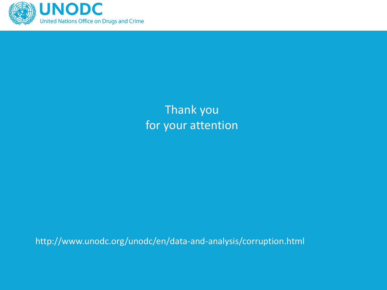

Thank you for your attention

http://www.unodc.org/unodc/en/data-and-analysis/corruption.html